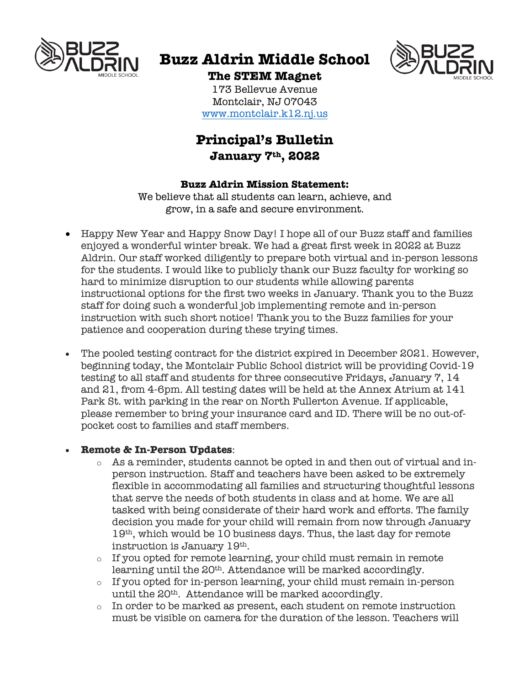

# **Buzz Aldrin Middle School**



**The STEM Magnet** 173 Bellevue Avenue Montclair, NJ 07043 www.montclair.k12.nj.us

# **Principal's Bulletin January 7th, 2022**

#### **Buzz Aldrin Mission Statement:**

We believe that all students can learn, achieve, and grow, in a safe and secure environment.

- Happy New Year and Happy Snow Day! I hope all of our Buzz staff and families enjoyed a wonderful winter break. We had a great first week in 2022 at Buzz Aldrin. Our staff worked diligently to prepare both virtual and in-person lessons for the students. I would like to publicly thank our Buzz faculty for working so hard to minimize disruption to our students while allowing parents instructional options for the first two weeks in January. Thank you to the Buzz staff for doing such a wonderful job implementing remote and in-person instruction with such short notice! Thank you to the Buzz families for your patience and cooperation during these trying times.
- The pooled testing contract for the district expired in December 2021. However, beginning today, the Montclair Public School district will be providing Covid-19 testing to all staff and students for three consecutive Fridays, January 7, 14 and 21, from 4-6pm. All testing dates will be held at the Annex Atrium at 141 Park St. with parking in the rear on North Fullerton Avenue. If applicable, please remember to bring your insurance card and ID. There will be no out-ofpocket cost to families and staff members.

## • **Remote & In-Person Updates**:

- o As a reminder, students cannot be opted in and then out of virtual and inperson instruction. Staff and teachers have been asked to be extremely flexible in accommodating all families and structuring thoughtful lessons that serve the needs of both students in class and at home. We are all tasked with being considerate of their hard work and efforts. The family decision you made for your child will remain from now through January 19th, which would be 10 business days. Thus, the last day for remote instruction is January 19th.
- o If you opted for remote learning, your child must remain in remote learning until the 20<sup>th</sup>. Attendance will be marked accordingly.
- o If you opted for in-person learning, your child must remain in-person until the 20<sup>th</sup>. Attendance will be marked accordingly.
- $\circ$  In order to be marked as present, each student on remote instruction must be visible on camera for the duration of the lesson. Teachers will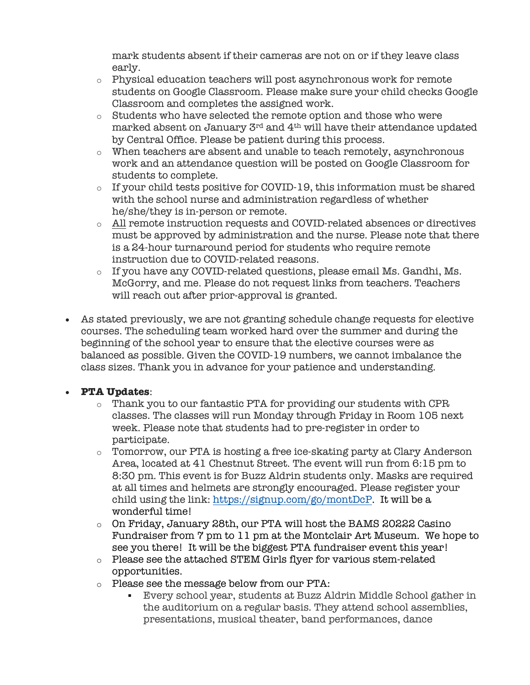mark students absent if their cameras are not on or if they leave class early.

- $\circ$  Physical education teachers will post asynchronous work for remote students on Google Classroom. Please make sure your child checks Google Classroom and completes the assigned work.
- o Students who have selected the remote option and those who were marked absent on January 3rd and 4th will have their attendance updated by Central Office. Please be patient during this process.
- o When teachers are absent and unable to teach remotely, asynchronous work and an attendance question will be posted on Google Classroom for students to complete.
- $\circ$  If your child tests positive for COVID-19, this information must be shared with the school nurse and administration regardless of whether he/she/they is in-person or remote.
- o All remote instruction requests and COVID-related absences or directives must be approved by administration and the nurse. Please note that there is a 24-hour turnaround period for students who require remote instruction due to COVID-related reasons.
- o If you have any COVID-related questions, please email Ms. Gandhi, Ms. McGorry, and me. Please do not request links from teachers. Teachers will reach out after prior-approval is granted.
- As stated previously, we are not granting schedule change requests for elective courses. The scheduling team worked hard over the summer and during the beginning of the school year to ensure that the elective courses were as balanced as possible. Given the COVID-19 numbers, we cannot imbalance the class sizes. Thank you in advance for your patience and understanding.

## • **PTA Updates**:

- o Thank you to our fantastic PTA for providing our students with CPR classes. The classes will run Monday through Friday in Room 105 next week. Please note that students had to pre-register in order to participate.
- o Tomorrow, our PTA is hosting a free ice-skating party at Clary Anderson Area, located at 41 Chestnut Street. The event will run from 6:15 pm to 8:30 pm. This event is for Buzz Aldrin students only. Masks are required at all times and helmets are strongly encouraged. Please register your child using the link: https://signup.com/go/montDcP. It will be a wonderful time!
- o On Friday, January 28th, our PTA will host the BAMS 20222 Casino Fundraiser from 7 pm to 11 pm at the Montclair Art Museum. We hope to see you there! It will be the biggest PTA fundraiser event this year!
- o Please see the attached STEM Girls flyer for various stem-related opportunities.
- o Please see the message below from our PTA:
	- Every school year, students at Buzz Aldrin Middle School gather in the auditorium on a regular basis. They attend school assemblies, presentations, musical theater, band performances, dance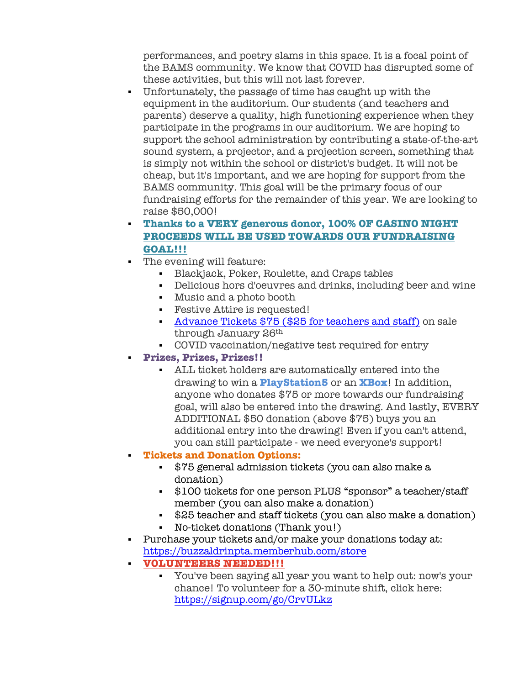performances, and poetry slams in this space. It is a focal point of the BAMS community. We know that COVID has disrupted some of these activities, but this will not last forever.

- § Unfortunately, the passage of time has caught up with the equipment in the auditorium. Our students (and teachers and parents) deserve a quality, high functioning experience when they participate in the programs in our auditorium. We are hoping to support the school administration by contributing a state-of-the-art sound system, a projector, and a projection screen, something that is simply not within the school or district's budget. It will not be cheap, but it's important, and we are hoping for support from the BAMS community. This goal will be the primary focus of our fundraising efforts for the remainder of this year. We are looking to raise \$50,000!
- § **Thanks to a VERY generous donor, 100% OF CASINO NIGHT PROCEEDS WILL BE USED TOWARDS OUR FUNDRAISING GOAL!!!**
- The evening will feature:
	- § Blackjack, Poker, Roulette, and Craps tables
	- § Delicious hors d'oeuvres and drinks, including beer and wine
	- § Music and a photo booth
	- Festive Attire is requested!
	- **Advance Tickets \$75 (\$25 for teachers and staff)** on sale through January 26th
	- § COVID vaccination/negative test required for entry
	- § **Prizes, Prizes, Prizes!!**
		- § ALL ticket holders are automatically entered into the drawing to win a **PlayStation5** or an **XBox**! In addition, anyone who donates \$75 or more towards our fundraising goal, will also be entered into the drawing. And lastly, EVERY ADDITIONAL \$50 donation (above \$75) buys you an additional entry into the drawing! Even if you can't attend, you can still participate - we need everyone's support!
	- § **Tickets and Donation Options:**
		- § \$75 general admission tickets (you can also make a donation)
		- § \$100 tickets for one person PLUS "sponsor" a teacher/staff member (you can also make a donation)
		- § \$25 teacher and staff tickets (you can also make a donation)
		- § No-ticket donations (Thank you!)
- § Purchase your tickets and/or make your donations today at: https://buzzaldrinpta.memberhub.com/store
- § **VOLUNTEERS NEEDED!!!**
	- § You've been saying all year you want to help out: now's your chance! To volunteer for a 30-minute shift, click here: https://signup.com/go/CrvULkz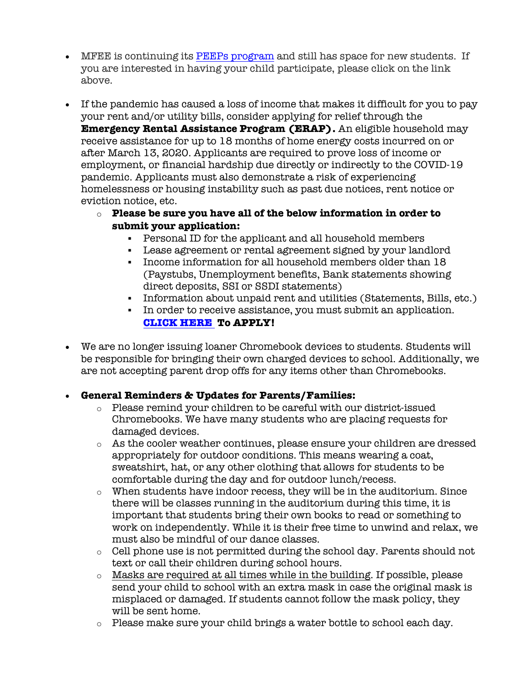- MFEE is continuing its PEEPs program and still has space for new students. If you are interested in having your child participate, please click on the link above.
- If the pandemic has caused a loss of income that makes it difficult for you to pay your rent and/or utility bills, consider applying for relief through the **Emergency Rental Assistance Program (ERAP).** An eligible household may receive assistance for up to 18 months of home energy costs incurred on or after March 13, 2020. Applicants are required to prove loss of income or employment, or financial hardship due directly or indirectly to the COVID-19 pandemic. Applicants must also demonstrate a risk of experiencing homelessness or housing instability such as past due notices, rent notice or eviction notice, etc.
	- o **Please be sure you have all of the below information in order to submit your application:**
		- § Personal ID for the applicant and all household members
		- § Lease agreement or rental agreement signed by your landlord
		- § Income information for all household members older than 18 (Paystubs, Unemployment benefits, Bank statements showing direct deposits, SSI or SSDI statements)
		- § Information about unpaid rent and utilities (Statements, Bills, etc.)
		- § In order to receive assistance, you must submit an application. **CLICK HERE To APPLY!**
- We are no longer issuing loaner Chromebook devices to students. Students will be responsible for bringing their own charged devices to school. Additionally, we are not accepting parent drop offs for any items other than Chromebooks.

## • **General Reminders & Updates for Parents/Families:**

- $\circ$  Please remind your children to be careful with our district-issued Chromebooks. We have many students who are placing requests for damaged devices.
- o As the cooler weather continues, please ensure your children are dressed appropriately for outdoor conditions. This means wearing a coat, sweatshirt, hat, or any other clothing that allows for students to be comfortable during the day and for outdoor lunch/recess.
- o When students have indoor recess, they will be in the auditorium. Since there will be classes running in the auditorium during this time, it is important that students bring their own books to read or something to work on independently. While it is their free time to unwind and relax, we must also be mindful of our dance classes.
- o Cell phone use is not permitted during the school day. Parents should not text or call their children during school hours.
- o Masks are required at all times while in the building. If possible, please send your child to school with an extra mask in case the original mask is misplaced or damaged. If students cannot follow the mask policy, they will be sent home.
- o Please make sure your child brings a water bottle to school each day.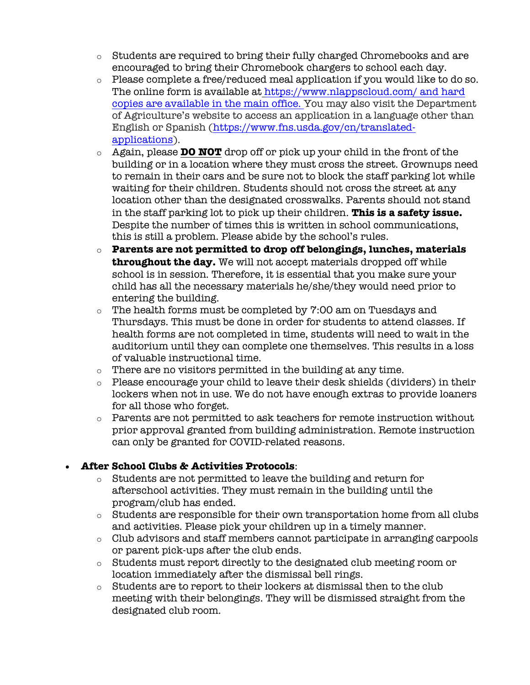- o Students are required to bring their fully charged Chromebooks and are encouraged to bring their Chromebook chargers to school each day.
- o Please complete a free/reduced meal application if you would like to do so. The online form is available at https://www.nlappscloud.com/ and hard copies are available in the main office. You may also visit the Department of Agriculture's website to access an application in a language other than English or Spanish (https://www.fns.usda.gov/cn/translatedapplications).
- o Again, please **DO NOT** drop off or pick up your child in the front of the building or in a location where they must cross the street. Grownups need to remain in their cars and be sure not to block the staff parking lot while waiting for their children. Students should not cross the street at any location other than the designated crosswalks. Parents should not stand in the staff parking lot to pick up their children. **This is a safety issue.** Despite the number of times this is written in school communications, this is still a problem. Please abide by the school's rules.
- o **Parents are not permitted to drop off belongings, lunches, materials throughout the day.** We will not accept materials dropped off while school is in session. Therefore, it is essential that you make sure your child has all the necessary materials he/she/they would need prior to entering the building.
- o The health forms must be completed by 7:00 am on Tuesdays and Thursdays. This must be done in order for students to attend classes. If health forms are not completed in time, students will need to wait in the auditorium until they can complete one themselves. This results in a loss of valuable instructional time.
- o There are no visitors permitted in the building at any time.
- $\circ$  Please encourage your child to leave their desk shields (dividers) in their lockers when not in use. We do not have enough extras to provide loaners for all those who forget.
- $\circ$  Parents are not permitted to ask teachers for remote instruction without prior approval granted from building administration. Remote instruction can only be granted for COVID-related reasons.

## • **After School Clubs & Activities Protocols**:

- o Students are not permitted to leave the building and return for afterschool activities. They must remain in the building until the program/club has ended.
- $\circ$  Students are responsible for their own transportation home from all clubs and activities. Please pick your children up in a timely manner.
- o Club advisors and staff members cannot participate in arranging carpools or parent pick-ups after the club ends.
- o Students must report directly to the designated club meeting room or location immediately after the dismissal bell rings.
- $\circ$  Students are to report to their lockers at dismissal then to the club meeting with their belongings. They will be dismissed straight from the designated club room.